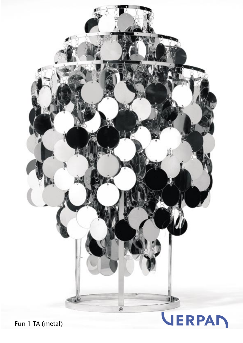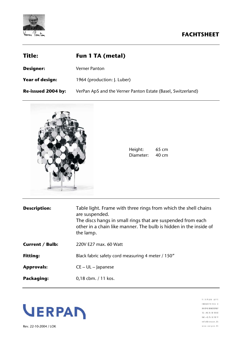

| <b>Title:</b>          | <b>Fun 1 TA (metal)</b>                                      |
|------------------------|--------------------------------------------------------------|
| <b>Designer:</b>       | Verner Panton                                                |
| <b>Year of design:</b> | 1964 (production: J. Luber)                                  |
| Re-issued 2004 by:     | VerPan ApS and the Verner Panton Estate (Basel, Switzerland) |



| Height:   | $65 \text{ cm}$     |
|-----------|---------------------|
| Diameter: | $40 \, \mathrm{cm}$ |

| <b>Description:</b>    | Table light. Frame with three rings from which the shell chains<br>are suspended.<br>The discs hangs in small rings that are suspended from each<br>other in a chain like manner. The bulb is hidden in the inside of<br>the lamp. |
|------------------------|------------------------------------------------------------------------------------------------------------------------------------------------------------------------------------------------------------------------------------|
| <b>Current / Bulb:</b> | 220V F27 max, 60 Watt                                                                                                                                                                                                              |
| <b>Fitting:</b>        | Black fabric safety cord measuring 4 meter / 150"                                                                                                                                                                                  |
| <b>Approvals:</b>      | $CE - UL - lapanese$                                                                                                                                                                                                               |
| Packaging:             | $0,18$ cbm. $/11$ kos.                                                                                                                                                                                                             |



 $\texttt{V} \ \texttt{E} \ \texttt{R} \ \texttt{P} \ \texttt{A} \ \texttt{N} \quad \texttt{A} \ \texttt{P} \ \texttt{S}$  $\begin{array}{c} \texttt{IN} \; \texttt{D} \; \texttt{U} \; \texttt{S} \; \texttt{T} \; \texttt{R} \; \texttt{I} \; \texttt{V} \; \texttt{E} \; \texttt{J} \quad \texttt{8} \end{array}$ DK-8740 BRAEDSTRUP TEL +45 76 58 18 82 FAX +45 76 58 18 19  $\mathsf{info} \otimes \mathsf{verpan\_dk}$  $\mathbf{w}\;\mathbf{w}\;\mathbf{w}\;.\;\mathbf{v}\;\mathsf{e}\;\mathsf{r}\;\mathsf{p}\;\mathsf{a}\;\mathsf{n}\;.\;\mathsf{d}\;\mathsf{k}$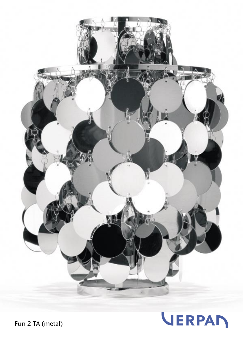



Fun 2 TA (metal)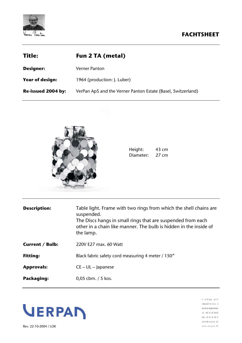

| <b>Title:</b>          | <b>Fun 2 TA (metal)</b>                                      |
|------------------------|--------------------------------------------------------------|
| <b>Designer:</b>       | Verner Panton                                                |
| <b>Year of design:</b> | 1964 (production: J. Luber)                                  |
| Re-issued 2004 by:     | VerPan ApS and the Verner Panton Estate (Basel, Switzerland) |



| Height:   | 43 cm |
|-----------|-------|
| Diameter: | 27 cm |

| <b>Description:</b>    | Table light. Frame with two rings from which the shell chains are<br>suspended.<br>The Discs hangs in small rings that are suspended from each<br>other in a chain like manner. The bulb is hidden in the inside of<br>the lamp. |
|------------------------|----------------------------------------------------------------------------------------------------------------------------------------------------------------------------------------------------------------------------------|
| <b>Current / Bulb:</b> | 220V E27 max. 60 Watt                                                                                                                                                                                                            |
| <b>Fitting:</b>        | Black fabric safety cord measuring 4 meter / 150"                                                                                                                                                                                |
| <b>Approvals:</b>      | $CE - UL -$ Japanese                                                                                                                                                                                                             |
| Packaging:             | $0.05$ cbm. $/5$ kos.                                                                                                                                                                                                            |



 $\texttt{V} \ \texttt{E} \ \texttt{R} \ \texttt{P} \ \texttt{A} \ \texttt{N} \quad \texttt{A} \ \texttt{P} \ \texttt{S}$  $\begin{array}{c} \texttt{ \textbf{1} \textbf{N} \textbf{D} \textbf{U} \textbf{S} \textbf{T} \textbf{R} \textbf{I} \textbf{V} \textbf{E} \textbf{J} \textbf{B} \end{array}$ DK-8740 BRAEDSTRUP TEL +45 76 58 18 82 FAX +45 76 58 18 19  $\mathsf{info} \otimes \mathsf{verpan\_dk}$  $\mathbf{w}\;\mathbf{w}\;\mathbf{w}\;.\;\mathbf{v}\;\mathsf{e}\;\mathsf{r}\;\mathsf{p}\;\mathsf{a}\;\mathsf{n}\;.\;\mathsf{d}\;\mathsf{k}$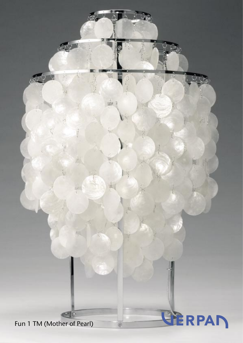